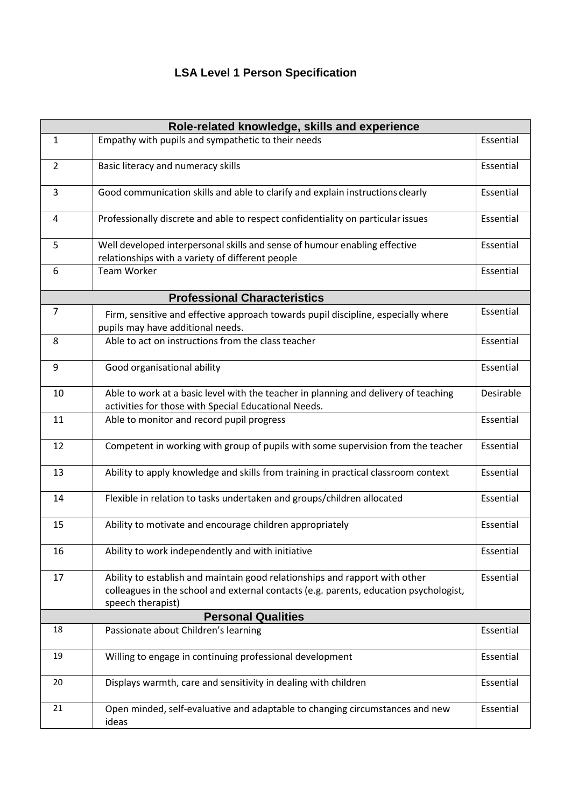## **LSA Level 1 Person Specification**

| Role-related knowledge, skills and experience |                                                                                                                                                                                           |           |  |
|-----------------------------------------------|-------------------------------------------------------------------------------------------------------------------------------------------------------------------------------------------|-----------|--|
| $\mathbf{1}$                                  | Empathy with pupils and sympathetic to their needs                                                                                                                                        | Essential |  |
| $\overline{2}$                                | Basic literacy and numeracy skills                                                                                                                                                        | Essential |  |
| 3                                             | Good communication skills and able to clarify and explain instructions clearly                                                                                                            | Essential |  |
| 4                                             | Professionally discrete and able to respect confidentiality on particular issues                                                                                                          | Essential |  |
| 5                                             | Well developed interpersonal skills and sense of humour enabling effective<br>relationships with a variety of different people                                                            | Essential |  |
| 6                                             | <b>Team Worker</b>                                                                                                                                                                        | Essential |  |
| <b>Professional Characteristics</b>           |                                                                                                                                                                                           |           |  |
| $\overline{7}$                                | Firm, sensitive and effective approach towards pupil discipline, especially where<br>pupils may have additional needs.                                                                    | Essential |  |
| 8                                             | Able to act on instructions from the class teacher                                                                                                                                        | Essential |  |
| 9                                             | Good organisational ability                                                                                                                                                               | Essential |  |
| 10                                            | Able to work at a basic level with the teacher in planning and delivery of teaching<br>activities for those with Special Educational Needs.                                               | Desirable |  |
| 11                                            | Able to monitor and record pupil progress                                                                                                                                                 | Essential |  |
| 12                                            | Competent in working with group of pupils with some supervision from the teacher                                                                                                          | Essential |  |
| 13                                            | Ability to apply knowledge and skills from training in practical classroom context                                                                                                        | Essential |  |
| 14                                            | Flexible in relation to tasks undertaken and groups/children allocated                                                                                                                    | Essential |  |
| 15                                            | Ability to motivate and encourage children appropriately                                                                                                                                  | Essential |  |
| 16                                            | Ability to work independently and with initiative                                                                                                                                         | Essential |  |
| 17                                            | Ability to establish and maintain good relationships and rapport with other<br>colleagues in the school and external contacts (e.g. parents, education psychologist,<br>speech therapist) | Essential |  |
| <b>Personal Qualities</b>                     |                                                                                                                                                                                           |           |  |
| 18                                            | Passionate about Children's learning                                                                                                                                                      | Essential |  |
| 19                                            | Willing to engage in continuing professional development                                                                                                                                  | Essential |  |
| 20                                            | Displays warmth, care and sensitivity in dealing with children                                                                                                                            | Essential |  |
| 21                                            | Open minded, self-evaluative and adaptable to changing circumstances and new<br>ideas                                                                                                     | Essential |  |